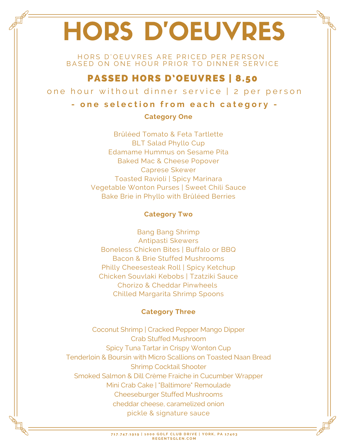# HORS D'OEUVRES

HORS D'OEUVRES ARE PRICED PER PERSON BASED ON ONE HOUR PRIOR TO DINNER SERVICE

# PASSED HORS D'OEUVRES | 8.50

one hour without dinner service | 2 per person

## - one selection from each category -

#### **Category One**

Brûléed Tomato & Feta Tartlette BLT Salad Phyllo Cup Edamame Hummus on Sesame Pita Baked Mac & Cheese Popover Caprese Skewer Toasted Ravioli | Spicy Marinara Vegetable Wonton Purses | Sweet Chili Sauce Bake Brie in Phyllo with Brûléed Berries

#### **Category Two**

Bang Bang Shrimp Antipasti Skewers Boneless Chicken Bites | Buffalo or BBQ Bacon & Brie Stuffed Mushrooms Philly Cheesesteak Roll | Spicy Ketchup Chicken Souvlaki Kebobs | Tzatziki Sauce Chorizo & Cheddar Pinwheels Chilled Margarita Shrimp Spoons

### **Category Three**

Coconut Shrimp | Cracked Pepper Mango Dipper Crab Stuffed Mushroom Spicy Tuna Tartar in Crispy Wonton Cup Tenderloin & Boursin with Micro Scallions on Toasted Naan Bread Shrimp Cocktail Shooter Smoked Salmon & Dill Crème Fraiche in Cucumber Wrapper Mini Crab Cake | "Baltimore" Remoulade Cheeseburger Stuffed Mushrooms cheddar cheese, caramelized onion pickle & signature sauce